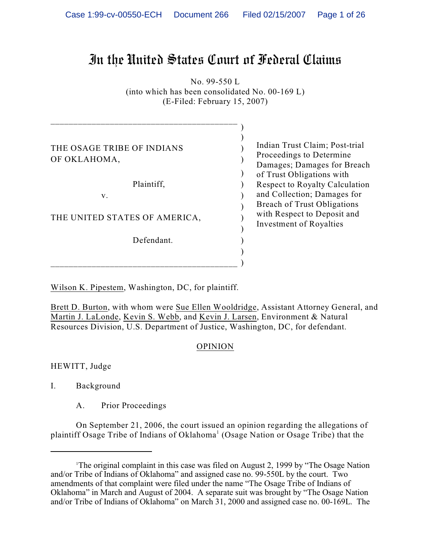# In the United States Court of Federal Claims

No. 99-550 L (into which has been consolidated No. 00-169 L) (E-Filed: February 15, 2007)

)

)

)

THE OSAGE TRIBE OF INDIANS OF OKLAHOMA,

Plaintiff,  $\qquad \qquad$ )

\_\_\_\_\_\_\_\_\_\_\_\_\_\_\_\_\_\_\_\_\_\_\_\_\_\_\_\_\_\_\_\_\_\_\_\_\_\_\_\_\_

 $)$ 

 $\mathbf{v}$ .  $\qquad \qquad$  )

THE UNITED STATES OF AMERICA,

) and the contract of  $\mathcal{O}(\mathbb{R}^d)$ Defendant.

\_\_\_\_\_\_\_\_\_\_\_\_\_\_\_\_\_\_\_\_\_\_\_\_\_\_\_\_\_\_\_\_\_\_\_\_\_\_\_\_\_ )

 $)$ 

Indian Trust Claim; Post-trial Proceedings to Determine Damages; Damages for Breach of Trust Obligations with Respect to Royalty Calculation and Collection; Damages for Breach of Trust Obligations with Respect to Deposit and Investment of Royalties

Wilson K. Pipestem, Washington, DC, for plaintiff.

Brett D. Burton, with whom were Sue Ellen Wooldridge, Assistant Attorney General, and Martin J. LaLonde, Kevin S. Webb, and Kevin J. Larsen, Environment & Natural Resources Division, U.S. Department of Justice, Washington, DC, for defendant.

## OPINION

HEWITT, Judge

I. Background

A. Prior Proceedings

On September 21, 2006, the court issued an opinion regarding the allegations of plaintiff Osage Tribe of Indians of Oklahoma<sup>1</sup> (Osage Nation or Osage Tribe) that the

<sup>&</sup>lt;sup>1</sup>The original complaint in this case was filed on August 2, 1999 by "The Osage Nation" and/or Tribe of Indians of Oklahoma" and assigned case no. 99-550L by the court. Two amendments of that complaint were filed under the name "The Osage Tribe of Indians of Oklahoma" in March and August of 2004. A separate suit was brought by "The Osage Nation and/or Tribe of Indians of Oklahoma" on March 31, 2000 and assigned case no. 00-169L. The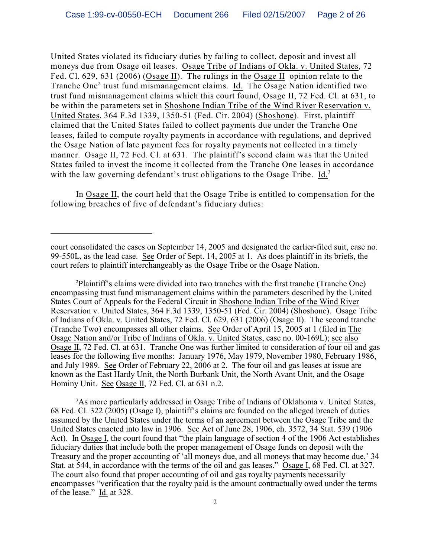United States violated its fiduciary duties by failing to collect, deposit and invest all moneys due from Osage oil leases. Osage Tribe of Indians of Okla. v. United States, 72 Fed. Cl. 629, 631 (2006) (Osage II). The rulings in the Osage II opinion relate to the Tranche One<sup>2</sup> trust fund mismanagement claims. Id. The Osage Nation identified two trust fund mismanagement claims which this court found, Osage II, 72 Fed. Cl. at 631, to be within the parameters set in Shoshone Indian Tribe of the Wind River Reservation v. United States, 364 F.3d 1339, 1350-51 (Fed. Cir. 2004) (Shoshone). First, plaintiff claimed that the United States failed to collect payments due under the Tranche One leases, failed to compute royalty payments in accordance with regulations, and deprived the Osage Nation of late payment fees for royalty payments not collected in a timely manner. Osage II, 72 Fed. Cl. at 631. The plaintiff's second claim was that the United States failed to invest the income it collected from the Tranche One leases in accordance with the law governing defendant's trust obligations to the Osage Tribe. Id.<sup>3</sup>

In Osage II, the court held that the Osage Tribe is entitled to compensation for the following breaches of five of defendant's fiduciary duties:

<sup>3</sup>As more particularly addressed in Osage Tribe of Indians of Oklahoma v. United States, 68 Fed. Cl. 322 (2005) (Osage I), plaintiff's claims are founded on the alleged breach of duties assumed by the United States under the terms of an agreement between the Osage Tribe and the United States enacted into law in 1906. See Act of June 28, 1906, ch. 3572, 34 Stat. 539 (1906 Act). In Osage I, the court found that "the plain language of section 4 of the 1906 Act establishes fiduciary duties that include both the proper management of Osage funds on deposit with the Treasury and the proper accounting of 'all moneys due, and all moneys that may become due,' 34 Stat. at 544, in accordance with the terms of the oil and gas leases." Osage I, 68 Fed. Cl. at 327. The court also found that proper accounting of oil and gas royalty payments necessarily encompasses "verification that the royalty paid is the amount contractually owed under the terms of the lease." Id. at 328.

court consolidated the cases on September 14, 2005 and designated the earlier-filed suit, case no. 99-550L, as the lead case. See Order of Sept. 14, 2005 at 1. As does plaintiff in its briefs, the court refers to plaintiff interchangeably as the Osage Tribe or the Osage Nation.

<sup>&</sup>lt;sup>2</sup>Plaintiff's claims were divided into two tranches with the first tranche (Tranche One) encompassing trust fund mismanagement claims within the parameters described by the United States Court of Appeals for the Federal Circuit in Shoshone Indian Tribe of the Wind River Reservation v. United States, 364 F.3d 1339, 1350-51 (Fed. Cir. 2004) (Shoshone). Osage Tribe of Indians of Okla. v. United States, 72 Fed. Cl. 629, 631 (2006) (Osage II). The second tranche (Tranche Two) encompasses all other claims. See Order of April 15, 2005 at 1 (filed in The Osage Nation and/or Tribe of Indians of Okla. v. United States, case no. 00-169L); see also Osage II, 72 Fed. Cl. at 631. Tranche One was further limited to consideration of four oil and gas leases for the following five months: January 1976, May 1979, November 1980, February 1986, and July 1989. See Order of February 22, 2006 at 2. The four oil and gas leases at issue are known as the East Hardy Unit, the North Burbank Unit, the North Avant Unit, and the Osage Hominy Unit. See Osage II, 72 Fed. Cl. at 631 n.2.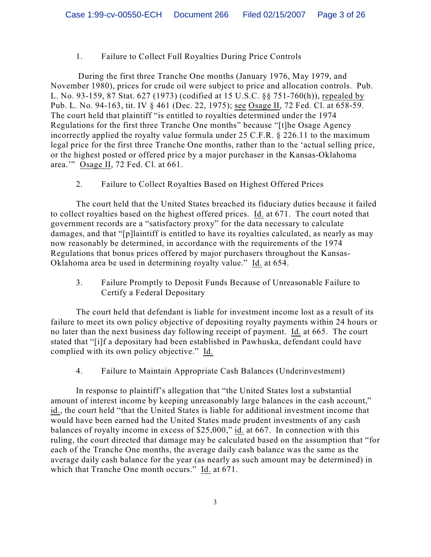# 1. Failure to Collect Full Royalties During Price Controls

 During the first three Tranche One months (January 1976, May 1979, and November 1980), prices for crude oil were subject to price and allocation controls. Pub. L. No. 93-159, 87 Stat. 627 (1973) (codified at 15 U.S.C. §§ 751-760(h)), repealed by Pub. L. No. 94-163, tit. IV § 461 (Dec. 22, 1975); see Osage II, 72 Fed. Cl. at 658-59. The court held that plaintiff "is entitled to royalties determined under the 1974 Regulations for the first three Tranche One months" because "[t]he Osage Agency incorrectly applied the royalty value formula under 25 C.F.R. § 226.11 to the maximum legal price for the first three Tranche One months, rather than to the 'actual selling price, or the highest posted or offered price by a major purchaser in the Kansas-Oklahoma area.'" Osage II, 72 Fed. Cl. at 661.

2. Failure to Collect Royalties Based on Highest Offered Prices

The court held that the United States breached its fiduciary duties because it failed to collect royalties based on the highest offered prices. Id. at 671. The court noted that government records are a "satisfactory proxy" for the data necessary to calculate damages, and that "[p]laintiff is entitled to have its royalties calculated, as nearly as may now reasonably be determined, in accordance with the requirements of the 1974 Regulations that bonus prices offered by major purchasers throughout the Kansas-Oklahoma area be used in determining royalty value." Id. at 654.

3. Failure Promptly to Deposit Funds Because of Unreasonable Failure to Certify a Federal Depositary

The court held that defendant is liable for investment income lost as a result of its failure to meet its own policy objective of depositing royalty payments within 24 hours or no later than the next business day following receipt of payment. Id. at 665. The court stated that "[i]f a depositary had been established in Pawhuska, defendant could have complied with its own policy objective." Id.

4. Failure to Maintain Appropriate Cash Balances (Underinvestment)

In response to plaintiff's allegation that "the United States lost a substantial amount of interest income by keeping unreasonably large balances in the cash account," id., the court held "that the United States is liable for additional investment income that would have been earned had the United States made prudent investments of any cash balances of royalty income in excess of \$25,000," id. at 667. In connection with this ruling, the court directed that damage may be calculated based on the assumption that "for each of the Tranche One months, the average daily cash balance was the same as the average daily cash balance for the year (as nearly as such amount may be determined) in which that Tranche One month occurs." Id. at 671.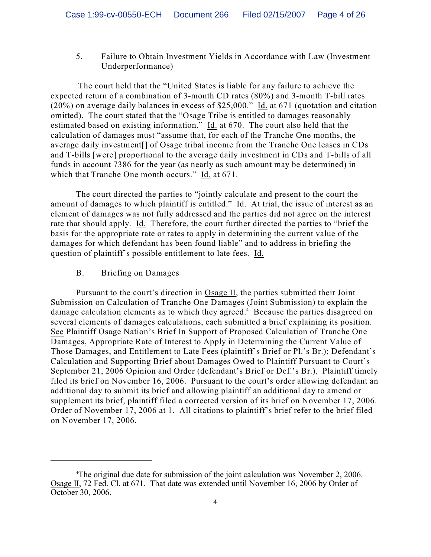5. Failure to Obtain Investment Yields in Accordance with Law (Investment Underperformance)

 The court held that the "United States is liable for any failure to achieve the expected return of a combination of 3-month CD rates (80%) and 3-month T-bill rates (20%) on average daily balances in excess of \$25,000." Id. at 671 (quotation and citation omitted). The court stated that the "Osage Tribe is entitled to damages reasonably estimated based on existing information." Id. at 670. The court also held that the calculation of damages must "assume that, for each of the Tranche One months, the average daily investment[] of Osage tribal income from the Tranche One leases in CDs and T-bills [were] proportional to the average daily investment in CDs and T-bills of all funds in account 7386 for the year (as nearly as such amount may be determined) in which that Tranche One month occurs." Id. at 671.

The court directed the parties to "jointly calculate and present to the court the amount of damages to which plaintiff is entitled." Id. At trial, the issue of interest as an element of damages was not fully addressed and the parties did not agree on the interest rate that should apply. Id. Therefore, the court further directed the parties to "brief the basis for the appropriate rate or rates to apply in determining the current value of the damages for which defendant has been found liable" and to address in briefing the question of plaintiff's possible entitlement to late fees. Id.

B. Briefing on Damages

Pursuant to the court's direction in Osage II, the parties submitted their Joint Submission on Calculation of Tranche One Damages (Joint Submission) to explain the damage calculation elements as to which they agreed.<sup>4</sup> Because the parties disagreed on several elements of damages calculations, each submitted a brief explaining its position. See Plaintiff Osage Nation's Brief In Support of Proposed Calculation of Tranche One Damages, Appropriate Rate of Interest to Apply in Determining the Current Value of Those Damages, and Entitlement to Late Fees (plaintiff's Brief or Pl.'s Br.); Defendant's Calculation and Supporting Brief about Damages Owed to Plaintiff Pursuant to Court's September 21, 2006 Opinion and Order (defendant's Brief or Def.'s Br.). Plaintiff timely filed its brief on November 16, 2006. Pursuant to the court's order allowing defendant an additional day to submit its brief and allowing plaintiff an additional day to amend or supplement its brief, plaintiff filed a corrected version of its brief on November 17, 2006. Order of November 17, 2006 at 1. All citations to plaintiff's brief refer to the brief filed on November 17, 2006.

The original due date for submission of the joint calculation was November 2, 2006. <sup>4</sup> Osage II, 72 Fed. Cl. at 671. That date was extended until November 16, 2006 by Order of October 30, 2006.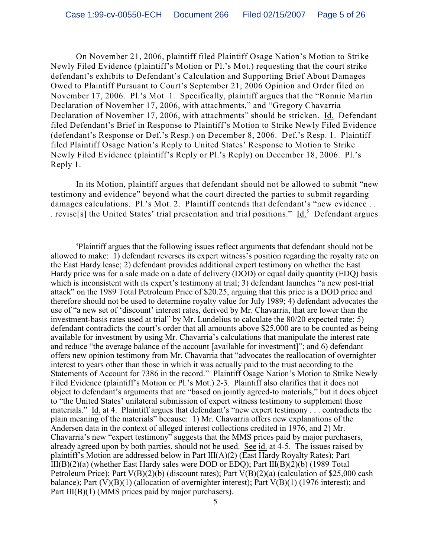On November 21, 2006, plaintiff filed Plaintiff Osage Nation's Motion to Strike Newly Filed Evidence (plaintiff's Motion or Pl.'s Mot.) requesting that the court strike defendant's exhibits to Defendant's Calculation and Supporting Brief About Damages Owed to Plaintiff Pursuant to Court's September 21, 2006 Opinion and Order filed on November 17, 2006. Pl.'s Mot. 1. Specifically, plaintiff argues that the "Ronnie Martin Declaration of November 17, 2006, with attachments," and "Gregory Chavarria Declaration of November 17, 2006, with attachments" should be stricken. Id. Defendant filed Defendant's Brief in Response to Plaintiff's Motion to Strike Newly Filed Evidence (defendant's Response or Def.'s Resp.) on December 8, 2006. Def.'s Resp. 1. Plaintiff filed Plaintiff Osage Nation's Reply to United States' Response to Motion to Strike Newly Filed Evidence (plaintiff's Reply or Pl.'s Reply) on December 18, 2006. Pl.'s Reply 1.

In its Motion, plaintiff argues that defendant should not be allowed to submit "new testimony and evidence" beyond what the court directed the parties to submit regarding damages calculations. Pl.'s Mot. 2. Plaintiff contends that defendant's "new evidence.. . revise<sup>[s]</sup> the United States' trial presentation and trial positions." Id.<sup>5</sup> Defendant argues

Plaintiff argues that the following issues reflect arguments that defendant should not be <sup>5</sup> allowed to make: 1) defendant reverses its expert witness's position regarding the royalty rate on the East Hardy lease; 2) defendant provides additional expert testimony on whether the East Hardy price was for a sale made on a date of delivery (DOD) or equal daily quantity (EDQ) basis which is inconsistent with its expert's testimony at trial; 3) defendant launches "a new post-trial attack" on the 1989 Total Petroleum Price of \$20.25, arguing that this price is a DOD price and therefore should not be used to determine royalty value for July 1989; 4) defendant advocates the use of "a new set of 'discount' interest rates, derived by Mr. Chavarria, that are lower than the investment-basis rates used at trial" by Mr. Lundelius to calculate the 80/20 expected rate; 5) defendant contradicts the court's order that all amounts above \$25,000 are to be counted as being available for investment by using Mr. Chavarria's calculations that manipulate the interest rate and reduce "the average balance of the account [available for investment]"; and 6) defendant offers new opinion testimony from Mr. Chavarria that "advocates the reallocation of overnighter interest to years other than those in which it was actually paid to the trust according to the Statements of Account for 7386 in the record." Plaintiff Osage Nation's Motion to Strike Newly Filed Evidence (plaintiff's Motion or Pl.'s Mot.) 2-3. Plaintiff also clarifies that it does not object to defendant's arguments that are "based on jointly agreed-to materials," but it does object to "the United States' unilateral submission of expert witness testimony to supplement those materials." Id. at 4. Plaintiff argues that defendant's "new expert testimony . . . contradicts the plain meaning of the materials" because: 1) Mr. Chavarria offers new explanations of the Andersen data in the context of alleged interest collections credited in 1976, and 2) Mr. Chavarria's new "expert testimony" suggests that the MMS prices paid by major purchasers, already agreed upon by both parties, should not be used. See id. at 4-5. The issues raised by plaintiff's Motion are addressed below in Part III(A)(2) (East Hardy Royalty Rates); Part III(B)(2)(a) (whether East Hardy sales were DOD or EDQ); Part III(B)(2)(b) (1989 Total Petroleum Price); Part V(B)(2)(b) (discount rates); Part V(B)(2)(a) (calculation of \$25,000 cash balance); Part  $(V)(B)(1)$  (allocation of overnighter interest); Part  $V(B)(1)$  (1976 interest); and Part III(B)(1) (MMS prices paid by major purchasers).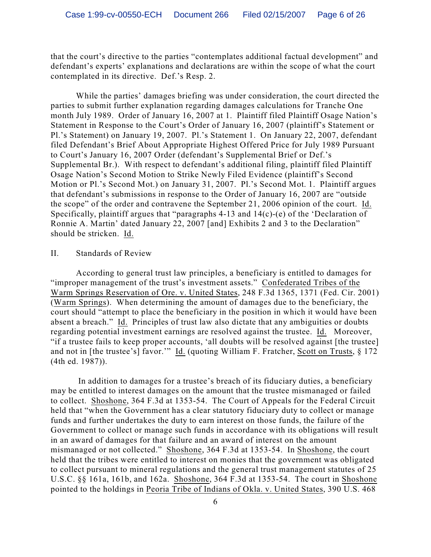that the court's directive to the parties "contemplates additional factual development" and defendant's experts' explanations and declarations are within the scope of what the court contemplated in its directive. Def.'s Resp. 2.

While the parties' damages briefing was under consideration, the court directed the parties to submit further explanation regarding damages calculations for Tranche One month July 1989. Order of January 16, 2007 at 1. Plaintiff filed Plaintiff Osage Nation's Statement in Response to the Court's Order of January 16, 2007 (plaintiff's Statement or Pl.'s Statement) on January 19, 2007. Pl.'s Statement 1. On January 22, 2007, defendant filed Defendant's Brief About Appropriate Highest Offered Price for July 1989 Pursuant to Court's January 16, 2007 Order (defendant's Supplemental Brief or Def.'s Supplemental Br.). With respect to defendant's additional filing, plaintiff filed Plaintiff Osage Nation's Second Motion to Strike Newly Filed Evidence (plaintiff's Second Motion or Pl.'s Second Mot.) on January 31, 2007. Pl.'s Second Mot. 1. Plaintiff argues that defendant's submissions in response to the Order of January 16, 2007 are "outside the scope" of the order and contravene the September 21, 2006 opinion of the court. Id. Specifically, plaintiff argues that "paragraphs 4-13 and 14(c)-(e) of the 'Declaration of Ronnie A. Martin' dated January 22, 2007 [and] Exhibits 2 and 3 to the Declaration" should be stricken. Id.

#### II. Standards of Review

According to general trust law principles, a beneficiary is entitled to damages for "improper management of the trust's investment assets." Confederated Tribes of the Warm Springs Reservation of Ore. v. United States, 248 F.3d 1365, 1371 (Fed. Cir. 2001) (Warm Springs). When determining the amount of damages due to the beneficiary, the court should "attempt to place the beneficiary in the position in which it would have been absent a breach." Id. Principles of trust law also dictate that any ambiguities or doubts regarding potential investment earnings are resolved against the trustee. Id. Moreover, "if a trustee fails to keep proper accounts, 'all doubts will be resolved against [the trustee] and not in [the trustee's] favor.'" Id. (quoting William F. Fratcher, Scott on Trusts, § 172 (4th ed. 1987)).

 In addition to damages for a trustee's breach of its fiduciary duties, a beneficiary may be entitled to interest damages on the amount that the trustee mismanaged or failed to collect. Shoshone, 364 F.3d at 1353-54. The Court of Appeals for the Federal Circuit held that "when the Government has a clear statutory fiduciary duty to collect or manage funds and further undertakes the duty to earn interest on those funds, the failure of the Government to collect or manage such funds in accordance with its obligations will result in an award of damages for that failure and an award of interest on the amount mismanaged or not collected." Shoshone, 364 F.3d at 1353-54. In Shoshone, the court held that the tribes were entitled to interest on monies that the government was obligated to collect pursuant to mineral regulations and the general trust management statutes of 25 U.S.C. §§ 161a, 161b, and 162a. Shoshone, 364 F.3d at 1353-54. The court in Shoshone pointed to the holdings in Peoria Tribe of Indians of Okla. v. United States, 390 U.S. 468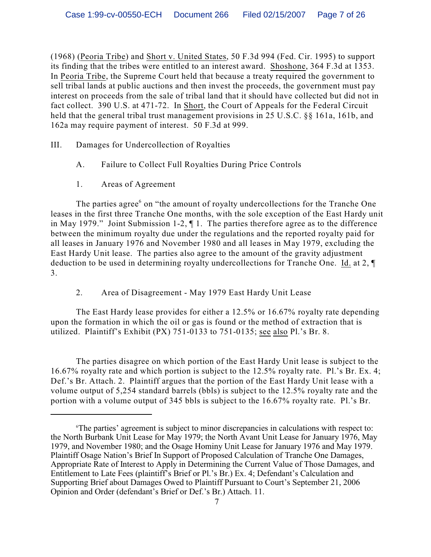(1968) (Peoria Tribe) and Short v. United States, 50 F.3d 994 (Fed. Cir. 1995) to support its finding that the tribes were entitled to an interest award. Shoshone, 364 F.3d at 1353. In Peoria Tribe, the Supreme Court held that because a treaty required the government to sell tribal lands at public auctions and then invest the proceeds, the government must pay interest on proceeds from the sale of tribal land that it should have collected but did not in fact collect. 390 U.S. at 471-72. In Short, the Court of Appeals for the Federal Circuit held that the general tribal trust management provisions in 25 U.S.C. §§ 161a, 161b, and 162a may require payment of interest. 50 F.3d at 999.

III. Damages for Undercollection of Royalties

- A. Failure to Collect Full Royalties During Price Controls
- 1. Areas of Agreement

The parties agree  $6$  on "the amount of royalty undercollections for the Tranche One leases in the first three Tranche One months, with the sole exception of the East Hardy unit in May 1979." Joint Submission 1-2, ¶ 1. The parties therefore agree as to the difference between the minimum royalty due under the regulations and the reported royalty paid for all leases in January 1976 and November 1980 and all leases in May 1979, excluding the East Hardy Unit lease. The parties also agree to the amount of the gravity adjustment deduction to be used in determining royalty undercollections for Tranche One. Id. at 2, ¶ 3.

2. Area of Disagreement - May 1979 East Hardy Unit Lease

The East Hardy lease provides for either a 12.5% or 16.67% royalty rate depending upon the formation in which the oil or gas is found or the method of extraction that is utilized. Plaintiff's Exhibit (PX) 751-0133 to 751-0135; see also Pl.'s Br. 8.

The parties disagree on which portion of the East Hardy Unit lease is subject to the 16.67% royalty rate and which portion is subject to the 12.5% royalty rate. Pl.'s Br. Ex. 4; Def.'s Br. Attach. 2. Plaintiff argues that the portion of the East Hardy Unit lease with a volume output of 5,254 standard barrels (bbls) is subject to the 12.5% royalty rate and the portion with a volume output of 345 bbls is subject to the 16.67% royalty rate. Pl.'s Br.

<sup>&</sup>lt;sup>6</sup>The parties' agreement is subject to minor discrepancies in calculations with respect to: the North Burbank Unit Lease for May 1979; the North Avant Unit Lease for January 1976, May 1979, and November 1980; and the Osage Hominy Unit Lease for January 1976 and May 1979. Plaintiff Osage Nation's Brief In Support of Proposed Calculation of Tranche One Damages, Appropriate Rate of Interest to Apply in Determining the Current Value of Those Damages, and Entitlement to Late Fees (plaintiff's Brief or Pl.'s Br.) Ex. 4; Defendant's Calculation and Supporting Brief about Damages Owed to Plaintiff Pursuant to Court's September 21, 2006 Opinion and Order (defendant's Brief or Def.'s Br.) Attach. 11.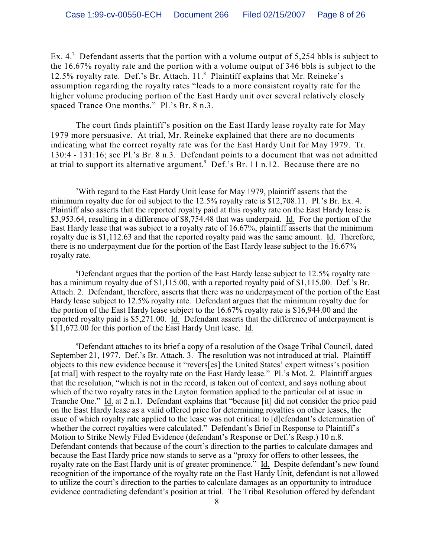Ex. 4.<sup>7</sup> Defendant asserts that the portion with a volume output of 5,254 bbls is subject to the 16.67% royalty rate and the portion with a volume output of 346 bbls is subject to the 12.5% royalty rate. Def.'s Br. Attach.  $11<sup>8</sup>$  Plaintiff explains that Mr. Reineke's assumption regarding the royalty rates "leads to a more consistent royalty rate for the higher volume producing portion of the East Hardy unit over several relatively closely spaced Trance One months." Pl.'s Br. 8 n.3.

The court finds plaintiff's position on the East Hardy lease royalty rate for May 1979 more persuasive. At trial, Mr. Reineke explained that there are no documents indicating what the correct royalty rate was for the East Hardy Unit for May 1979. Tr. 130:4 - 131:16; see Pl.'s Br. 8 n.3. Defendant points to a document that was not admitted at trial to support its alternative argument.<sup>9</sup> Def.'s Br. 11 n.12. Because there are no

<sup>8</sup>Defendant argues that the portion of the East Hardy lease subject to 12.5% royalty rate has a minimum royalty due of \$1,115.00, with a reported royalty paid of \$1,115.00. Def.'s Br. Attach. 2. Defendant, therefore, asserts that there was no underpayment of the portion of the East Hardy lease subject to 12.5% royalty rate. Defendant argues that the minimum royalty due for the portion of the East Hardy lease subject to the 16.67% royalty rate is \$16,944.00 and the reported royalty paid is \$5,271.00. Id. Defendant asserts that the difference of underpayment is \$11,672.00 for this portion of the East Hardy Unit lease. Id.

Defendant attaches to its brief a copy of a resolution of the Osage Tribal Council, dated <sup>9</sup> September 21, 1977. Def.'s Br. Attach. 3. The resolution was not introduced at trial. Plaintiff objects to this new evidence because it "revers[es] the United States' expert witness's position [at trial] with respect to the royalty rate on the East Hardy lease." Pl.'s Mot. 2. Plaintiff argues that the resolution, "which is not in the record, is taken out of context, and says nothing about which of the two royalty rates in the Layton formation applied to the particular oil at issue in Tranche One." Id. at 2 n.1. Defendant explains that "because [it] did not consider the price paid on the East Hardy lease as a valid offered price for determining royalties on other leases, the issue of which royalty rate applied to the lease was not critical to [d]efendant's determination of whether the correct royalties were calculated." Defendant's Brief in Response to Plaintiff's Motion to Strike Newly Filed Evidence (defendant's Response or Def.'s Resp.) 10 n.8. Defendant contends that because of the court's direction to the parties to calculate damages and because the East Hardy price now stands to serve as a "proxy for offers to other lessees, the royalty rate on the East Hardy unit is of greater prominence." Id. Despite defendant's new found recognition of the importance of the royalty rate on the East Hardy Unit, defendant is not allowed to utilize the court's direction to the parties to calculate damages as an opportunity to introduce evidence contradicting defendant's position at trial. The Tribal Resolution offered by defendant

With regard to the East Hardy Unit lease for May 1979, plaintiff asserts that the <sup>7</sup> minimum royalty due for oil subject to the 12.5% royalty rate is \$12,708.11. Pl.'s Br. Ex. 4. Plaintiff also asserts that the reported royalty paid at this royalty rate on the East Hardy lease is \$3,953.64, resulting in a difference of \$8,754.48 that was underpaid. Id. For the portion of the East Hardy lease that was subject to a royalty rate of 16.67%, plaintiff asserts that the minimum royalty due is \$1,112.63 and that the reported royalty paid was the same amount. Id. Therefore, there is no underpayment due for the portion of the East Hardy lease subject to the 16.67% royalty rate.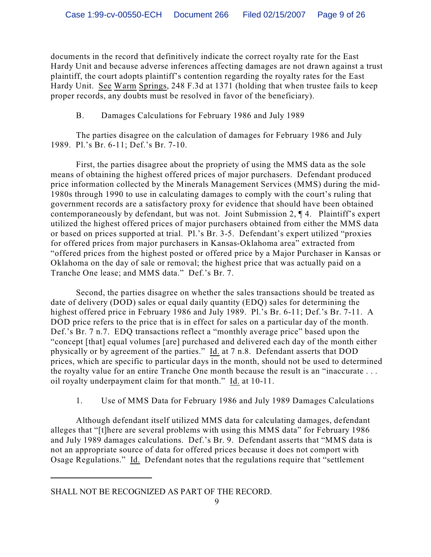documents in the record that definitively indicate the correct royalty rate for the East Hardy Unit and because adverse inferences affecting damages are not drawn against a trust plaintiff, the court adopts plaintiff's contention regarding the royalty rates for the East Hardy Unit. See Warm Springs, 248 F.3d at 1371 (holding that when trustee fails to keep proper records, any doubts must be resolved in favor of the beneficiary).

B. Damages Calculations for February 1986 and July 1989

The parties disagree on the calculation of damages for February 1986 and July 1989. Pl.'s Br. 6-11; Def.'s Br. 7-10.

First, the parties disagree about the propriety of using the MMS data as the sole means of obtaining the highest offered prices of major purchasers. Defendant produced price information collected by the Minerals Management Services (MMS) during the mid-1980s through 1990 to use in calculating damages to comply with the court's ruling that government records are a satisfactory proxy for evidence that should have been obtained contemporaneously by defendant, but was not. Joint Submission 2, ¶ 4. Plaintiff's expert utilized the highest offered prices of major purchasers obtained from either the MMS data or based on prices supported at trial. Pl.'s Br. 3-5. Defendant's expert utilized "proxies for offered prices from major purchasers in Kansas-Oklahoma area" extracted from "offered prices from the highest posted or offered price by a Major Purchaser in Kansas or Oklahoma on the day of sale or removal; the highest price that was actually paid on a Tranche One lease; and MMS data." Def.'s Br. 7.

Second, the parties disagree on whether the sales transactions should be treated as date of delivery (DOD) sales or equal daily quantity (EDQ) sales for determining the highest offered price in February 1986 and July 1989. Pl.'s Br. 6-11; Def.'s Br. 7-11. A DOD price refers to the price that is in effect for sales on a particular day of the month. Def.'s Br. 7 n.7. EDQ transactions reflect a "monthly average price" based upon the "concept [that] equal volumes [are] purchased and delivered each day of the month either physically or by agreement of the parties." Id. at 7 n.8. Defendant asserts that DOD prices, which are specific to particular days in the month, should not be used to determined the royalty value for an entire Tranche One month because the result is an "inaccurate . . . oil royalty underpayment claim for that month." Id. at 10-11.

1. Use of MMS Data for February 1986 and July 1989 Damages Calculations

Although defendant itself utilized MMS data for calculating damages, defendant alleges that "[t]here are several problems with using this MMS data" for February 1986 and July 1989 damages calculations. Def.'s Br. 9. Defendant asserts that "MMS data is not an appropriate source of data for offered prices because it does not comport with Osage Regulations." Id. Defendant notes that the regulations require that "settlement

SHALL NOT BE RECOGNIZED AS PART OF THE RECORD.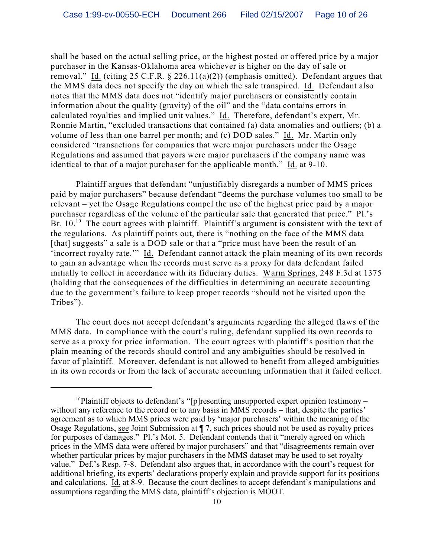shall be based on the actual selling price, or the highest posted or offered price by a major purchaser in the Kansas-Oklahoma area whichever is higher on the day of sale or removal." Id. (citing 25 C.F.R. § 226.11(a)(2)) (emphasis omitted). Defendant argues that the MMS data does not specify the day on which the sale transpired. Id. Defendant also notes that the MMS data does not "identify major purchasers or consistently contain information about the quality (gravity) of the oil" and the "data contains errors in calculated royalties and implied unit values." Id. Therefore, defendant's expert, Mr. Ronnie Martin, "excluded transactions that contained (a) data anomalies and outliers; (b) a volume of less than one barrel per month; and (c) DOD sales." Id. Mr. Martin only considered "transactions for companies that were major purchasers under the Osage Regulations and assumed that payors were major purchasers if the company name was identical to that of a major purchaser for the applicable month." Id. at 9-10.

Plaintiff argues that defendant "unjustifiably disregards a number of MMS prices paid by major purchasers" because defendant "deems the purchase volumes too small to be relevant – yet the Osage Regulations compel the use of the highest price paid by a major purchaser regardless of the volume of the particular sale that generated that price." Pl.'s Br.  $10<sup>10</sup>$  The court agrees with plaintiff. Plaintiff's argument is consistent with the text of the regulations. As plaintiff points out, there is "nothing on the face of the MMS data [that] suggests" a sale is a DOD sale or that a "price must have been the result of an 'incorrect royalty rate.'" Id. Defendant cannot attack the plain meaning of its own records to gain an advantage when the records must serve as a proxy for data defendant failed initially to collect in accordance with its fiduciary duties. Warm Springs, 248 F.3d at 1375 (holding that the consequences of the difficulties in determining an accurate accounting due to the government's failure to keep proper records "should not be visited upon the Tribes").

The court does not accept defendant's arguments regarding the alleged flaws of the MMS data. In compliance with the court's ruling, defendant supplied its own records to serve as a proxy for price information. The court agrees with plaintiff's position that the plain meaning of the records should control and any ambiguities should be resolved in favor of plaintiff. Moreover, defendant is not allowed to benefit from alleged ambiguities in its own records or from the lack of accurate accounting information that it failed collect.

<sup>&</sup>lt;sup>10</sup>Plaintiff objects to defendant's "[p]resenting unsupported expert opinion testimony – without any reference to the record or to any basis in MMS records – that, despite the parties' agreement as to which MMS prices were paid by 'major purchasers' within the meaning of the Osage Regulations, see Joint Submission at ¶ 7, such prices should not be used as royalty prices for purposes of damages." Pl.'s Mot. 5. Defendant contends that it "merely agreed on which prices in the MMS data were offered by major purchasers" and that "disagreements remain over whether particular prices by major purchasers in the MMS dataset may be used to set royalty value." Def.'s Resp. 7-8. Defendant also argues that, in accordance with the court's request for additional briefing, its experts' declarations properly explain and provide support for its positions and calculations. Id. at 8-9. Because the court declines to accept defendant's manipulations and assumptions regarding the MMS data, plaintiff's objection is MOOT.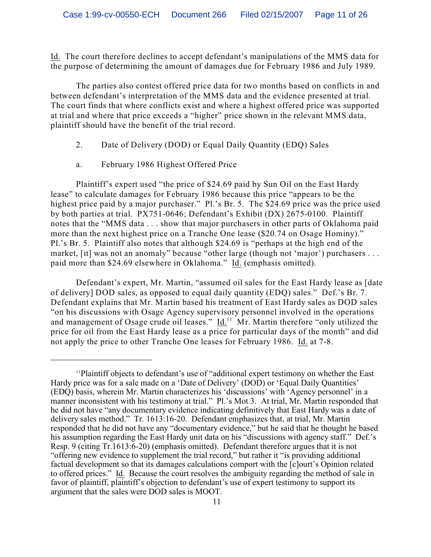Id. The court therefore declines to accept defendant's manipulations of the MMS data for the purpose of determining the amount of damages due for February 1986 and July 1989.

The parties also contest offered price data for two months based on conflicts in and between defendant's interpretation of the MMS data and the evidence presented at trial. The court finds that where conflicts exist and where a highest offered price was supported at trial and where that price exceeds a "higher" price shown in the relevant MMS data, plaintiff should have the benefit of the trial record.

- 2. Date of Delivery (DOD) or Equal Daily Quantity (EDQ) Sales
- a. February 1986 Highest Offered Price

Plaintiff's expert used "the price of \$24.69 paid by Sun Oil on the East Hardy lease" to calculate damages for February 1986 because this price "appears to be the highest price paid by a major purchaser." Pl.'s Br. 5. The \$24.69 price was the price used by both parties at trial. PX751-0646; Defendant's Exhibit (DX) 2675-0100. Plaintiff notes that the "MMS data . . . show that major purchasers in other parts of Oklahoma paid more than the next highest price on a Tranche One lease (\$20.74 on Osage Hominy)." Pl.'s Br. 5. Plaintiff also notes that although \$24.69 is "perhaps at the high end of the market, [it] was not an anomaly" because "other large (though not 'major') purchasers ... paid more than \$24.69 elsewhere in Oklahoma." Id. (emphasis omitted).

Defendant's expert, Mr. Martin, "assumed oil sales for the East Hardy lease as [date of delivery] DOD sales, as opposed to equal daily quantity (EDQ) sales." Def.'s Br. 7. Defendant explains that Mr. Martin based his treatment of East Hardy sales as DOD sales "on his discussions with Osage Agency supervisory personnel involved in the operations and management of Osage crude oil leases."  $\underline{Id}$ <sup>11</sup> Mr. Martin therefore "only utilized the price for oil from the East Hardy lease as a price for particular days of the month" and did not apply the price to other Tranche One leases for February 1986. Id. at 7-8.

 $\mu$ Plaintiff objects to defendant's use of "additional expert testimony on whether the East Hardy price was for a sale made on a 'Date of Delivery' (DOD) or 'Equal Daily Quantities' (EDQ) basis, wherein Mr. Martin characterizes his 'discussions' with 'Agency personnel' in a manner inconsistent with his testimony at trial." Pl.'s Mot 3. At trial, Mr. Martin responded that he did not have "any documentary evidence indicating definitively that East Hardy was a date of delivery sales method." Tr. 1613:16-20. Defendant emphasizes that, at trial, Mr. Martin responded that he did not have any "documentary evidence," but he said that he thought he based his assumption regarding the East Hardy unit data on his "discussions with agency staff." Def.'s Resp. 9 (citing Tr.1613:6-20) (emphasis omitted). Defendant therefore argues that it is not "offering new evidence to supplement the trial record," but rather it "is providing additional factual development so that its damages calculations comport with the [c]ourt's Opinion related to offered prices." Id. Because the court resolves the ambiguity regarding the method of sale in favor of plaintiff, plaintiff's objection to defendant's use of expert testimony to support its argument that the sales were DOD sales is MOOT.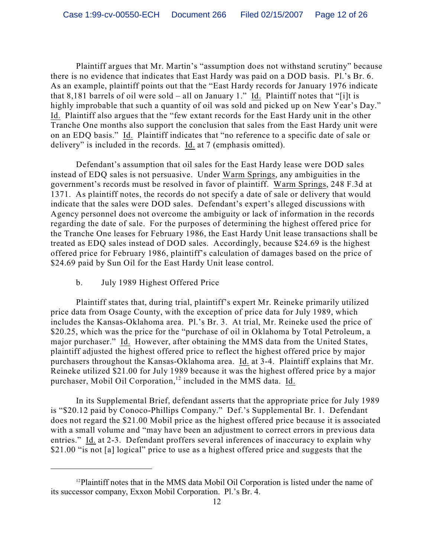Plaintiff argues that Mr. Martin's "assumption does not withstand scrutiny" because there is no evidence that indicates that East Hardy was paid on a DOD basis. Pl.'s Br. 6. As an example, plaintiff points out that the "East Hardy records for January 1976 indicate that 8,181 barrels of oil were sold – all on January 1." Id. Plaintiff notes that "[i]t is highly improbable that such a quantity of oil was sold and picked up on New Year's Day." Id. Plaintiff also argues that the "few extant records for the East Hardy unit in the other Tranche One months also support the conclusion that sales from the East Hardy unit were on an EDQ basis." Id. Plaintiff indicates that "no reference to a specific date of sale or delivery" is included in the records. Id. at 7 (emphasis omitted).

Defendant's assumption that oil sales for the East Hardy lease were DOD sales instead of EDQ sales is not persuasive. Under Warm Springs, any ambiguities in the government's records must be resolved in favor of plaintiff. Warm Springs, 248 F.3d at 1371. As plaintiff notes, the records do not specify a date of sale or delivery that would indicate that the sales were DOD sales. Defendant's expert's alleged discussions with Agency personnel does not overcome the ambiguity or lack of information in the records regarding the date of sale. For the purposes of determining the highest offered price for the Tranche One leases for February 1986, the East Hardy Unit lease transactions shall be treated as EDQ sales instead of DOD sales. Accordingly, because \$24.69 is the highest offered price for February 1986, plaintiff's calculation of damages based on the price of \$24.69 paid by Sun Oil for the East Hardy Unit lease control.

## b. July 1989 Highest Offered Price

Plaintiff states that, during trial, plaintiff's expert Mr. Reineke primarily utilized price data from Osage County, with the exception of price data for July 1989, which includes the Kansas-Oklahoma area. Pl.'s Br. 3. At trial, Mr. Reineke used the price of \$20.25, which was the price for the "purchase of oil in Oklahoma by Total Petroleum, a major purchaser." Id. However, after obtaining the MMS data from the United States, plaintiff adjusted the highest offered price to reflect the highest offered price by major purchasers throughout the Kansas-Oklahoma area. Id. at 3-4. Plaintiff explains that Mr. Reineke utilized \$21.00 for July 1989 because it was the highest offered price by a major purchaser, Mobil Oil Corporation,<sup>12</sup> included in the MMS data. Id.

In its Supplemental Brief, defendant asserts that the appropriate price for July 1989 is "\$20.12 paid by Conoco-Phillips Company." Def.'s Supplemental Br. 1. Defendant does not regard the \$21.00 Mobil price as the highest offered price because it is associated with a small volume and "may have been an adjustment to correct errors in previous data entries." Id. at 2-3. Defendant proffers several inferences of inaccuracy to explain why \$21.00 "is not [a] logical" price to use as a highest offered price and suggests that the

 $12$ Plaintiff notes that in the MMS data Mobil Oil Corporation is listed under the name of its successor company, Exxon Mobil Corporation. Pl.'s Br. 4.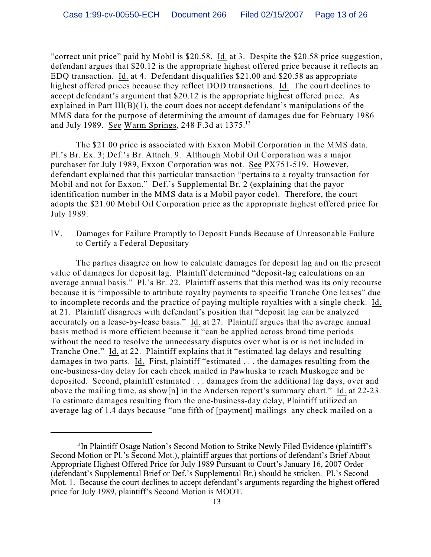"correct unit price" paid by Mobil is \$20.58. Id. at 3. Despite the \$20.58 price suggestion, defendant argues that \$20.12 is the appropriate highest offered price because it reflects an EDQ transaction. Id. at 4. Defendant disqualifies \$21.00 and \$20.58 as appropriate highest offered prices because they reflect DOD transactions. Id. The court declines to accept defendant's argument that \$20.12 is the appropriate highest offered price. As explained in Part III(B)(1), the court does not accept defendant's manipulations of the MMS data for the purpose of determining the amount of damages due for February 1986 and July 1989. See Warm Springs, 248 F.3d at 1375.<sup>13</sup>

The \$21.00 price is associated with Exxon Mobil Corporation in the MMS data. Pl.'s Br. Ex. 3; Def.'s Br. Attach. 9. Although Mobil Oil Corporation was a major purchaser for July 1989, Exxon Corporation was not. See PX751-519. However, defendant explained that this particular transaction "pertains to a royalty transaction for Mobil and not for Exxon." Def.'s Supplemental Br. 2 (explaining that the payor identification number in the MMS data is a Mobil payor code). Therefore, the court adopts the \$21.00 Mobil Oil Corporation price as the appropriate highest offered price for July 1989.

IV. Damages for Failure Promptly to Deposit Funds Because of Unreasonable Failure to Certify a Federal Depositary

The parties disagree on how to calculate damages for deposit lag and on the present value of damages for deposit lag. Plaintiff determined "deposit-lag calculations on an average annual basis." Pl.'s Br. 22. Plaintiff asserts that this method was its only recourse because it is "impossible to attribute royalty payments to specific Tranche One leases" due to incomplete records and the practice of paying multiple royalties with a single check. Id. at 21. Plaintiff disagrees with defendant's position that "deposit lag can be analyzed accurately on a lease-by-lease basis." Id. at 27. Plaintiff argues that the average annual basis method is more efficient because it "can be applied across broad time periods without the need to resolve the unnecessary disputes over what is or is not included in Tranche One." Id. at 22. Plaintiff explains that it "estimated lag delays and resulting damages in two parts. Id. First, plaintiff "estimated . . . the damages resulting from the one-business-day delay for each check mailed in Pawhuska to reach Muskogee and be deposited. Second, plaintiff estimated . . . damages from the additional lag days, over and above the mailing time, as show[n] in the Andersen report's summary chart." Id. at 22-23. To estimate damages resulting from the one-business-day delay, Plaintiff utilized an average lag of 1.4 days because "one fifth of [payment] mailings–any check mailed on a

<sup>&</sup>lt;sup>13</sup>In Plaintiff Osage Nation's Second Motion to Strike Newly Filed Evidence (plaintiff's Second Motion or Pl.'s Second Mot.), plaintiff argues that portions of defendant's Brief About Appropriate Highest Offered Price for July 1989 Pursuant to Court's January 16, 2007 Order (defendant's Supplemental Brief or Def.'s Supplemental Br.) should be stricken. Pl.'s Second Mot. 1. Because the court declines to accept defendant's arguments regarding the highest offered price for July 1989, plaintiff's Second Motion is MOOT.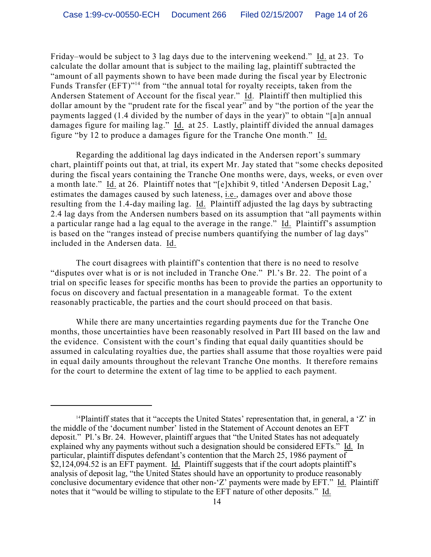Friday–would be subject to 3 lag days due to the intervening weekend." Id. at 23. To calculate the dollar amount that is subject to the mailing lag, plaintiff subtracted the "amount of all payments shown to have been made during the fiscal year by Electronic Funds Transfer  $(EFT)^{1/4}$  from "the annual total for royalty receipts, taken from the Andersen Statement of Account for the fiscal year." Id. Plaintiff then multiplied this dollar amount by the "prudent rate for the fiscal year" and by "the portion of the year the payments lagged (1.4 divided by the number of days in the year)" to obtain "[a]n annual damages figure for mailing lag." Id. at 25. Lastly, plaintiff divided the annual damages figure "by 12 to produce a damages figure for the Tranche One month." Id.

Regarding the additional lag days indicated in the Andersen report's summary chart, plaintiff points out that, at trial, its expert Mr. Jay stated that "some checks deposited during the fiscal years containing the Tranche One months were, days, weeks, or even over a month late." Id. at 26. Plaintiff notes that "[e]xhibit 9, titled 'Andersen Deposit Lag,' estimates the damages caused by such lateness, i.e., damages over and above those resulting from the 1.4-day mailing lag. Id. Plaintiff adjusted the lag days by subtracting 2.4 lag days from the Andersen numbers based on its assumption that "all payments within a particular range had a lag equal to the average in the range." Id. Plaintiff's assumption is based on the "ranges instead of precise numbers quantifying the number of lag days" included in the Andersen data. Id.

The court disagrees with plaintiff's contention that there is no need to resolve "disputes over what is or is not included in Tranche One." Pl.'s Br. 22. The point of a trial on specific leases for specific months has been to provide the parties an opportunity to focus on discovery and factual presentation in a manageable format. To the extent reasonably practicable, the parties and the court should proceed on that basis.

While there are many uncertainties regarding payments due for the Tranche One months, those uncertainties have been reasonably resolved in Part III based on the law and the evidence. Consistent with the court's finding that equal daily quantities should be assumed in calculating royalties due, the parties shall assume that those royalties were paid in equal daily amounts throughout the relevant Tranche One months. It therefore remains for the court to determine the extent of lag time to be applied to each payment.

 $14$ Plaintiff states that it "accepts the United States' representation that, in general, a 'Z' in the middle of the 'document number' listed in the Statement of Account denotes an EFT deposit." Pl.'s Br. 24. However, plaintiff argues that "the United States has not adequately explained why any payments without such a designation should be considered EFTs." Id. In particular, plaintiff disputes defendant's contention that the March 25, 1986 payment of \$2,124,094.52 is an EFT payment. Id. Plaintiff suggests that if the court adopts plaintiff's analysis of deposit lag, "the United States should have an opportunity to produce reasonably conclusive documentary evidence that other non-'Z' payments were made by EFT." Id. Plaintiff notes that it "would be willing to stipulate to the EFT nature of other deposits." Id.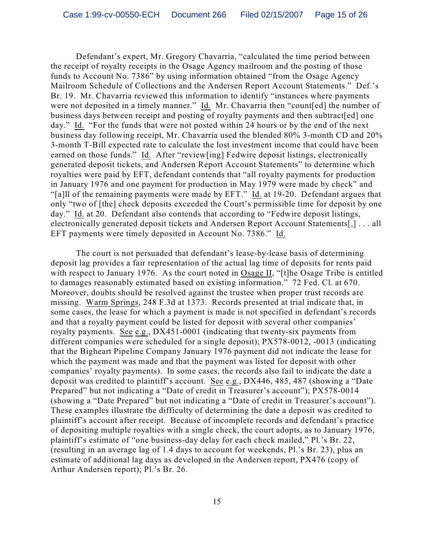Defendant's expert, Mr. Gregory Chavarria, "calculated the time period between the receipt of royalty receipts in the Osage Agency mailroom and the posting of those funds to Account No. 7386" by using information obtained "from the Osage Agency Mailroom Schedule of Collections and the Andersen Report Account Statements." Def.'s Br. 19. Mr. Chavarria reviewed this information to identify "instances where payments were not deposited in a timely manner." Id. Mr. Chavarria then "count[ed] the number of business days between receipt and posting of royalty payments and then subtract[ed] one day." Id. "For the funds that were not posted within 24 hours or by the end of the next business day following receipt, Mr. Chavarria used the blended 80% 3-month CD and 20% 3-month T-Bill expected rate to calculate the lost investment income that could have been earned on those funds." Id. After "review[ing] Fedwire deposit listings, electronically generated deposit tickets, and Andersen Report Account Statements" to determine which royalties were paid by EFT, defendant contends that "all royalty payments for production in January 1976 and one payment for production in May 1979 were made by check" and "[a]ll of the remaining payments were made by EFT." Id. at 19-20. Defendant argues that only "two of [the] check deposits exceeded the Court's permissible time for deposit by one day." Id. at 20. Defendant also contends that according to "Fedwire deposit listings, electronically generated deposit tickets and Andersen Report Account Statements[,] . . . all EFT payments were timely deposited in Account No. 7386." Id.

The court is not persuaded that defendant's lease-by-lease basis of determining deposit lag provides a fair representation of the actual lag time of deposits for rents paid with respect to January 1976. As the court noted in Osage II, "[t]he Osage Tribe is entitled to damages reasonably estimated based on existing information." 72 Fed. Cl. at 670. Moreover, doubts should be resolved against the trustee when proper trust records are missing. Warm Springs, 248 F.3d at 1373. Records presented at trial indicate that, in some cases, the lease for which a payment is made is not specified in defendant's records and that a royalty payment could be listed for deposit with several other companies' royalty payments. See e.g., DX451-0001 (indicating that twenty-six payments from different companies were scheduled for a single deposit); PX578-0012, -0013 (indicating that the Bigheart Pipeline Company January 1976 payment did not indicate the lease for which the payment was made and that the payment was listed for deposit with other companies' royalty payments). In some cases, the records also fail to indicate the date a deposit was credited to plaintiff's account. See e.g., DX446, 485, 487 (showing a "Date Prepared" but not indicating a "Date of credit in Treasurer's account"); PX578-0014 (showing a "Date Prepared" but not indicating a "Date of credit in Treasurer's account"). These examples illustrate the difficulty of determining the date a deposit was credited to plaintiff's account after receipt. Because of incomplete records and defendant's practice of depositing multiple royalties with a single check, the court adopts, as to January 1976, plaintiff's estimate of "one business-day delay for each check mailed," Pl.'s Br. 22, (resulting in an average lag of 1.4 days to account for weekends, Pl.'s Br. 23), plus an estimate of additional lag days as developed in the Andersen report, PX476 (copy of Arthur Andersen report); Pl.'s Br. 26.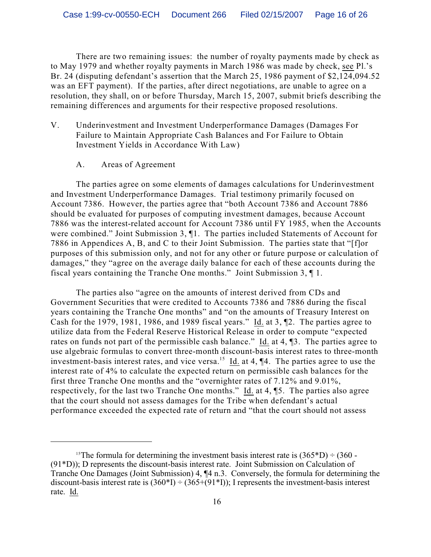There are two remaining issues: the number of royalty payments made by check as to May 1979 and whether royalty payments in March 1986 was made by check, see Pl.'s Br. 24 (disputing defendant's assertion that the March 25, 1986 payment of \$2,124,094.52 was an EFT payment). If the parties, after direct negotiations, are unable to agree on a resolution, they shall, on or before Thursday, March 15, 2007, submit briefs describing the remaining differences and arguments for their respective proposed resolutions.

- V. Underinvestment and Investment Underperformance Damages (Damages For Failure to Maintain Appropriate Cash Balances and For Failure to Obtain Investment Yields in Accordance With Law)
	- A. Areas of Agreement

The parties agree on some elements of damages calculations for Underinvestment and Investment Underperformance Damages. Trial testimony primarily focused on Account 7386. However, the parties agree that "both Account 7386 and Account 7886 should be evaluated for purposes of computing investment damages, because Account 7886 was the interest-related account for Account 7386 until FY 1985, when the Accounts were combined." Joint Submission 3, ¶1. The parties included Statements of Account for 7886 in Appendices A, B, and C to their Joint Submission. The parties state that "[f]or purposes of this submission only, and not for any other or future purpose or calculation of damages," they "agree on the average daily balance for each of these accounts during the fiscal years containing the Tranche One months." Joint Submission 3, ¶ 1.

The parties also "agree on the amounts of interest derived from CDs and Government Securities that were credited to Accounts 7386 and 7886 during the fiscal years containing the Tranche One months" and "on the amounts of Treasury Interest on Cash for the 1979, 1981, 1986, and 1989 fiscal years." Id. at 3, ¶2. The parties agree to utilize data from the Federal Reserve Historical Release in order to compute "expected rates on funds not part of the permissible cash balance." Id. at 4, ¶3. The parties agree to use algebraic formulas to convert three-month discount-basis interest rates to three-month investment-basis interest rates, and vice versa.<sup>15</sup> Id. at 4,  $\P$ 4. The parties agree to use the interest rate of 4% to calculate the expected return on permissible cash balances for the first three Tranche One months and the "overnighter rates of 7.12% and 9.01%, respectively, for the last two Tranche One months." Id. at 4, ¶5. The parties also agree that the court should not assess damages for the Tribe when defendant's actual performance exceeded the expected rate of return and "that the court should not assess

<sup>&</sup>lt;sup>15</sup>The formula for determining the investment basis interest rate is  $(365*D) \div (360 - 155)$ (91\*D)); D represents the discount-basis interest rate. Joint Submission on Calculation of Tranche One Damages (Joint Submission) 4, ¶4 n.3. Conversely, the formula for determining the discount-basis interest rate is  $(360*I) \div (365+(91*I))$ ; I represents the investment-basis interest rate. Id.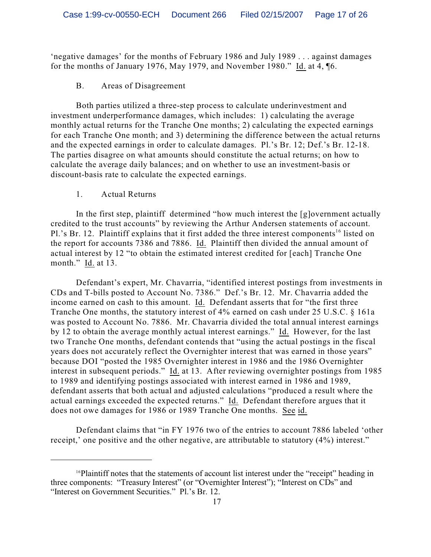'negative damages' for the months of February 1986 and July 1989 . . . against damages for the months of January 1976, May 1979, and November 1980." Id. at 4, ¶6.

## B. Areas of Disagreement

Both parties utilized a three-step process to calculate underinvestment and investment underperformance damages, which includes: 1) calculating the average monthly actual returns for the Tranche One months; 2) calculating the expected earnings for each Tranche One month; and 3) determining the difference between the actual returns and the expected earnings in order to calculate damages. Pl.'s Br. 12; Def.'s Br. 12-18. The parties disagree on what amounts should constitute the actual returns; on how to calculate the average daily balances; and on whether to use an investment-basis or discount-basis rate to calculate the expected earnings.

#### 1. Actual Returns

In the first step, plaintiff determined "how much interest the [g]overnment actually credited to the trust accounts" by reviewing the Arthur Andersen statements of account. Pl.'s Br. 12. Plaintiff explains that it first added the three interest components<sup>16</sup> listed on the report for accounts 7386 and 7886. Id. Plaintiff then divided the annual amount of actual interest by 12 "to obtain the estimated interest credited for [each] Tranche One month." Id. at 13.

Defendant's expert, Mr. Chavarria, "identified interest postings from investments in CDs and T-bills posted to Account No. 7386." Def.'s Br. 12. Mr. Chavarria added the income earned on cash to this amount. Id. Defendant asserts that for "the first three Tranche One months, the statutory interest of 4% earned on cash under 25 U.S.C. § 161a was posted to Account No. 7886. Mr. Chavarria divided the total annual interest earnings by 12 to obtain the average monthly actual interest earnings." Id. However, for the last two Tranche One months, defendant contends that "using the actual postings in the fiscal years does not accurately reflect the Overnighter interest that was earned in those years" because DOI "posted the 1985 Overnighter interest in 1986 and the 1986 Overnighter interest in subsequent periods." Id. at 13. After reviewing overnighter postings from 1985 to 1989 and identifying postings associated with interest earned in 1986 and 1989, defendant asserts that both actual and adjusted calculations "produced a result where the actual earnings exceeded the expected returns." Id. Defendant therefore argues that it does not owe damages for 1986 or 1989 Tranche One months. See id.

Defendant claims that "in FY 1976 two of the entries to account 7886 labeled 'other receipt,' one positive and the other negative, are attributable to statutory (4%) interest."

 $16$ Plaintiff notes that the statements of account list interest under the "receipt" heading in three components: "Treasury Interest" (or "Overnighter Interest"); "Interest on CDs" and "Interest on Government Securities." Pl.'s Br. 12.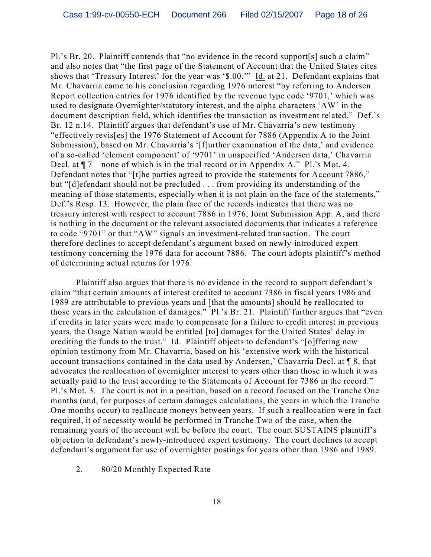Pl.'s Br. 20. Plaintiff contends that "no evidence in the record support[s] such a claim" and also notes that "the first page of the Statement of Account that the United States cites shows that 'Treasury Interest' for the year was '\$.00.'" Id. at 21. Defendant explains that Mr. Chavarria came to his conclusion regarding 1976 interest "by referring to Andersen Report collection entries for 1976 identified by the revenue type code '9701,' which was used to designate Overnighter/statutory interest, and the alpha characters 'AW' in the document description field, which identifies the transaction as investment related." Def.'s Br. 12 n.14. Plaintiff argues that defendant's use of Mr. Chavarria's new testimony "effectively revis[es] the 1976 Statement of Account for 7886 (Appendix A to the Joint Submission), based on Mr. Chavarria's '[f]urther examination of the data,' and evidence of a so-called 'element component' of '9701' in unspecified 'Andersen data,' Chavarria Decl. at ¶ 7 – none of which is in the trial record or in Appendix A." Pl.'s Mot. 4. Defendant notes that "[t]he parties agreed to provide the statements for Account 7886," but "[d]efendant should not be precluded . . . from providing its understanding of the meaning of those statements, especially when it is not plain on the face of the statements." Def.'s Resp. 13. However, the plain face of the records indicates that there was no treasury interest with respect to account 7886 in 1976, Joint Submission App. A, and there is nothing in the document or the relevant associated documents that indicates a reference to code "9701" or that "AW" signals an investment-related transaction. The court therefore declines to accept defendant's argument based on newly-introduced expert testimony concerning the 1976 data for account 7886. The court adopts plaintiff's method of determining actual returns for 1976.

Plaintiff also argues that there is no evidence in the record to support defendant's claim "that certain amounts of interest credited to account 7386 in fiscal years 1986 and 1989 are attributable to previous years and [that the amounts] should be reallocated to those years in the calculation of damages." Pl.'s Br. 21. Plaintiff further argues that "even if credits in later years were made to compensate for a failure to credit interest in previous years, the Osage Nation would be entitled [to] damages for the United States' delay in crediting the funds to the trust." Id. Plaintiff objects to defendant's "[o]ffering new opinion testimony from Mr. Chavarria, based on his 'extensive work with the historical account transactions contained in the data used by Andersen,' Chavarria Decl. at ¶ 8, that advocates the reallocation of overnighter interest to years other than those in which it was actually paid to the trust according to the Statements of Account for 7386 in the record." Pl.'s Mot. 3. The court is not in a position, based on a record focused on the Tranche One months (and, for purposes of certain damages calculations, the years in which the Tranche One months occur) to reallocate moneys between years. If such a reallocation were in fact required, it of necessity would be performed in Tranche Two of the case, when the remaining years of the account will be before the court. The court SUSTAINS plaintiff's objection to defendant's newly-introduced expert testimony. The court declines to accept defendant's argument for use of overnighter postings for years other than 1986 and 1989.

2. 80/20 Monthly Expected Rate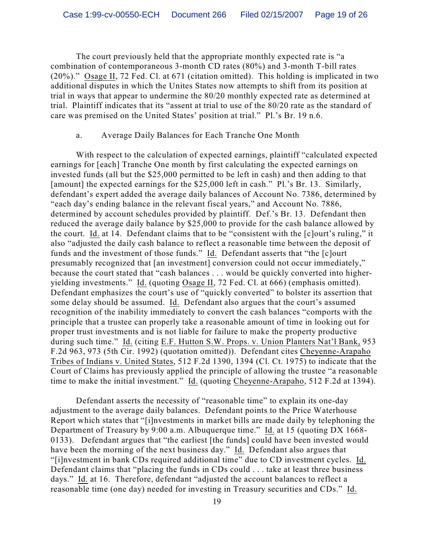The court previously held that the appropriate monthly expected rate is "a combination of contemporaneous 3-month CD rates (80%) and 3-month T-bill rates (20%)." Osage II, 72 Fed. Cl. at 671 (citation omitted). This holding is implicated in two additional disputes in which the Unites States now attempts to shift from its position at trial in ways that appear to undermine the 80/20 monthly expected rate as determined at trial. Plaintiff indicates that its "assent at trial to use of the 80/20 rate as the standard of care was premised on the United States' position at trial." Pl.'s Br. 19 n.6.

#### a. Average Daily Balances for Each Tranche One Month

With respect to the calculation of expected earnings, plaintiff "calculated expected earnings for [each] Tranche One month by first calculating the expected earnings on invested funds (all but the \$25,000 permitted to be left in cash) and then adding to that [amount] the expected earnings for the \$25,000 left in cash." Pl.'s Br. 13. Similarly, defendant's expert added the average daily balances of Account No. 7386, determined by "each day's ending balance in the relevant fiscal years," and Account No. 7886, determined by account schedules provided by plaintiff. Def.'s Br. 13. Defendant then reduced the average daily balance by \$25,000 to provide for the cash balance allowed by the court. Id. at 14. Defendant claims that to be "consistent with the [c]ourt's ruling," it also "adjusted the daily cash balance to reflect a reasonable time between the deposit of funds and the investment of those funds." Id. Defendant asserts that "the [c]ourt presumably recognized that [an investment] conversion could not occur immediately," because the court stated that "cash balances . . . would be quickly converted into higheryielding investments." Id. (quoting Osage II, 72 Fed. Cl. at 666) (emphasis omitted). Defendant emphasizes the court's use of "quickly converted" to bolster its assertion that some delay should be assumed. Id. Defendant also argues that the court's assumed recognition of the inability immediately to convert the cash balances "comports with the principle that a trustee can properly take a reasonable amount of time in looking out for proper trust investments and is not liable for failure to make the property productive during such time." Id. (citing E.F. Hutton S.W. Props. v. Union Planters Nat'l Bank, 953 F.2d 963, 973 (5th Cir. 1992) (quotation omitted)). Defendant cites Cheyenne-Arapaho Tribes of Indians v. United States, 512 F.2d 1390, 1394 (Cl. Ct. 1975) to indicate that the Court of Claims has previously applied the principle of allowing the trustee "a reasonable time to make the initial investment." Id. (quoting Cheyenne-Arapaho, 512 F.2d at 1394).

Defendant asserts the necessity of "reasonable time" to explain its one-day adjustment to the average daily balances. Defendant points to the Price Waterhouse Report which states that "[i]nvestments in market bills are made daily by telephoning the Department of Treasury by 9:00 a.m. Albuquerque time." Id. at 15 (quoting DX 1668- 0133). Defendant argues that "the earliest [the funds] could have been invested would have been the morning of the next business day." Id. Defendant also argues that "[i]nvestment in bank CDs required additional time" due to CD investment cycles. Id. Defendant claims that "placing the funds in CDs could . . . take at least three business days." Id. at 16. Therefore, defendant "adjusted the account balances to reflect a reasonable time (one day) needed for investing in Treasury securities and CDs." Id.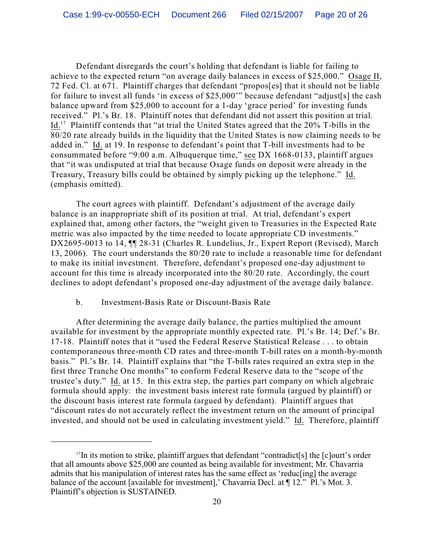Defendant disregards the court's holding that defendant is liable for failing to achieve to the expected return "on average daily balances in excess of \$25,000." Osage II, 72 Fed. Cl. at 671. Plaintiff charges that defendant "propos[es] that it should not be liable for failure to invest all funds 'in excess of \$25,000'" because defendant "adjust[s] the cash balance upward from \$25,000 to account for a 1-day 'grace period' for investing funds received." Pl.'s Br. 18. Plaintiff notes that defendant did not assert this position at trial. Id.<sup>17</sup> Plaintiff contends that "at trial the United States agreed that the  $20\%$  T-bills in the 80/20 rate already builds in the liquidity that the United States is now claiming needs to be added in." Id. at 19. In response to defendant's point that T-bill investments had to be consummated before "9:00 a.m. Albuquerque time," see DX 1668-0133, plaintiff argues that "it was undisputed at trial that because Osage funds on deposit were already in the Treasury, Treasury bills could be obtained by simply picking up the telephone." Id. (emphasis omitted).

The court agrees with plaintiff. Defendant's adjustment of the average daily balance is an inappropriate shift of its position at trial. At trial, defendant's expert explained that, among other factors, the "weight given to Treasuries in the Expected Rate metric was also impacted by the time needed to locate appropriate CD investments." DX2695-0013 to 14,  $\P$  28-31 (Charles R. Lundelius, Jr., Expert Report (Revised), March 13, 2006). The court understands the 80/20 rate to include a reasonable time for defendant to make its initial investment. Therefore, defendant's proposed one-day adjustment to account for this time is already incorporated into the 80/20 rate. Accordingly, the court declines to adopt defendant's proposed one-day adjustment of the average daily balance.

## b. Investment-Basis Rate or Discount-Basis Rate

After determining the average daily balance, the parties multiplied the amount available for investment by the appropriate monthly expected rate. Pl.'s Br. 14; Def.'s Br. 17-18. Plaintiff notes that it "used the Federal Reserve Statistical Release . . . to obtain contemporaneous three-month CD rates and three-month T-bill rates on a month-by-month basis." Pl.'s Br. 14. Plaintiff explains that "the T-bills rates required an extra step in the first three Tranche One months" to conform Federal Reserve data to the "scope of the trustee's duty." Id. at 15. In this extra step, the parties part company on which algebraic formula should apply: the investment basis interest rate formula (argued by plaintiff) or the discount basis interest rate formula (argued by defendant). Plaintiff argues that "discount rates do not accurately reflect the investment return on the amount of principal invested, and should not be used in calculating investment yield." Id. Therefore, plaintiff

 $17$ In its motion to strike, plaintiff argues that defendant "contradict<sup>[s]</sup> the [c]ourt's order that all amounts above \$25,000 are counted as being available for investment; Mr. Chavarria admits that his manipulation of interest rates has the same effect as 'reduc[ing] the average balance of the account [available for investment],' Chavarria Decl. at  $\P$  12." Pl.'s Mot. 3. Plaintiff's objection is SUSTAINED.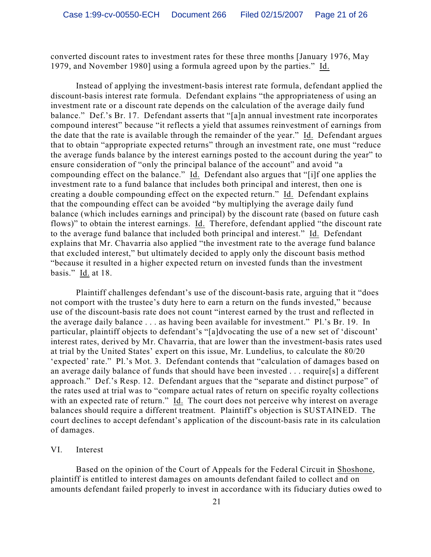converted discount rates to investment rates for these three months [January 1976, May 1979, and November 1980] using a formula agreed upon by the parties." Id.

Instead of applying the investment-basis interest rate formula, defendant applied the discount-basis interest rate formula. Defendant explains "the appropriateness of using an investment rate or a discount rate depends on the calculation of the average daily fund balance." Def.'s Br. 17. Defendant asserts that "[a]n annual investment rate incorporates compound interest" because "it reflects a yield that assumes reinvestment of earnings from the date that the rate is available through the remainder of the year." Id. Defendant argues that to obtain "appropriate expected returns" through an investment rate, one must "reduce the average funds balance by the interest earnings posted to the account during the year" to ensure consideration of "only the principal balance of the account" and avoid "a compounding effect on the balance." Id. Defendant also argues that "[i]f one applies the investment rate to a fund balance that includes both principal and interest, then one is creating a double compounding effect on the expected return." Id. Defendant explains that the compounding effect can be avoided "by multiplying the average daily fund balance (which includes earnings and principal) by the discount rate (based on future cash flows)" to obtain the interest earnings. Id. Therefore, defendant applied "the discount rate to the average fund balance that included both principal and interest." Id. Defendant explains that Mr. Chavarria also applied "the investment rate to the average fund balance that excluded interest," but ultimately decided to apply only the discount basis method "because it resulted in a higher expected return on invested funds than the investment basis." Id. at 18.

Plaintiff challenges defendant's use of the discount-basis rate, arguing that it "does not comport with the trustee's duty here to earn a return on the funds invested," because use of the discount-basis rate does not count "interest earned by the trust and reflected in the average daily balance . . . as having been available for investment." Pl.'s Br. 19. In particular, plaintiff objects to defendant's "[a]dvocating the use of a new set of 'discount' interest rates, derived by Mr. Chavarria, that are lower than the investment-basis rates used at trial by the United States' expert on this issue, Mr. Lundelius, to calculate the 80/20 'expected' rate." Pl.'s Mot. 3. Defendant contends that "calculation of damages based on an average daily balance of funds that should have been invested . . . require[s] a different approach." Def.'s Resp. 12. Defendant argues that the "separate and distinct purpose" of the rates used at trial was to "compare actual rates of return on specific royalty collections with an expected rate of return." Id. The court does not perceive why interest on average balances should require a different treatment. Plaintiff's objection is SUSTAINED. The court declines to accept defendant's application of the discount-basis rate in its calculation of damages.

#### VI. Interest

Based on the opinion of the Court of Appeals for the Federal Circuit in Shoshone, plaintiff is entitled to interest damages on amounts defendant failed to collect and on amounts defendant failed properly to invest in accordance with its fiduciary duties owed to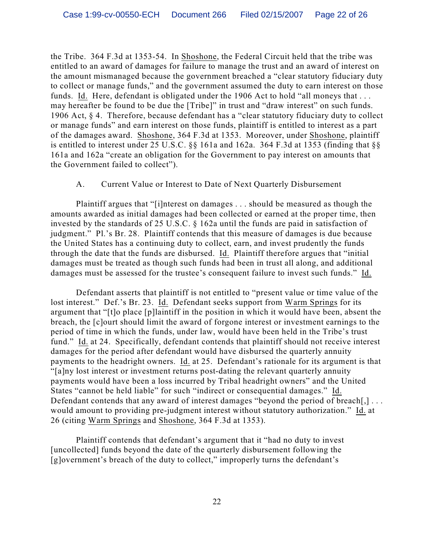the Tribe. 364 F.3d at 1353-54. In Shoshone, the Federal Circuit held that the tribe was entitled to an award of damages for failure to manage the trust and an award of interest on the amount mismanaged because the government breached a "clear statutory fiduciary duty to collect or manage funds," and the government assumed the duty to earn interest on those funds. Id. Here, defendant is obligated under the 1906 Act to hold "all moneys that . . . may hereafter be found to be due the [Tribe]" in trust and "draw interest" on such funds. 1906 Act, § 4. Therefore, because defendant has a "clear statutory fiduciary duty to collect or manage funds" and earn interest on those funds, plaintiff is entitled to interest as a part of the damages award. Shoshone, 364 F.3d at 1353. Moreover, under Shoshone, plaintiff is entitled to interest under 25 U.S.C.  $\S$ § 161a and 162a. 364 F.3d at 1353 (finding that  $\S$ § 161a and 162a "create an obligation for the Government to pay interest on amounts that the Government failed to collect").

## A. Current Value or Interest to Date of Next Quarterly Disbursement

Plaintiff argues that "[i]nterest on damages . . . should be measured as though the amounts awarded as initial damages had been collected or earned at the proper time, then invested by the standards of 25 U.S.C. § 162a until the funds are paid in satisfaction of judgment." Pl.'s Br. 28. Plaintiff contends that this measure of damages is due because the United States has a continuing duty to collect, earn, and invest prudently the funds through the date that the funds are disbursed. Id. Plaintiff therefore argues that "initial damages must be treated as though such funds had been in trust all along, and additional damages must be assessed for the trustee's consequent failure to invest such funds." Id.

Defendant asserts that plaintiff is not entitled to "present value or time value of the lost interest." Def.'s Br. 23. Id. Defendant seeks support from Warm Springs for its argument that "[t]o place [p]laintiff in the position in which it would have been, absent the breach, the [c]ourt should limit the award of forgone interest or investment earnings to the period of time in which the funds, under law, would have been held in the Tribe's trust fund." Id. at 24. Specifically, defendant contends that plaintiff should not receive interest damages for the period after defendant would have disbursed the quarterly annuity payments to the headright owners. Id. at 25. Defendant's rationale for its argument is that "[a]ny lost interest or investment returns post-dating the relevant quarterly annuity payments would have been a loss incurred by Tribal headright owners" and the United States "cannot be held liable" for such "indirect or consequential damages." Id. Defendant contends that any award of interest damages "beyond the period of breach[,] ... would amount to providing pre-judgment interest without statutory authorization." Id. at 26 (citing Warm Springs and Shoshone, 364 F.3d at 1353).

Plaintiff contends that defendant's argument that it "had no duty to invest [uncollected] funds beyond the date of the quarterly disbursement following the [g]overnment's breach of the duty to collect," improperly turns the defendant's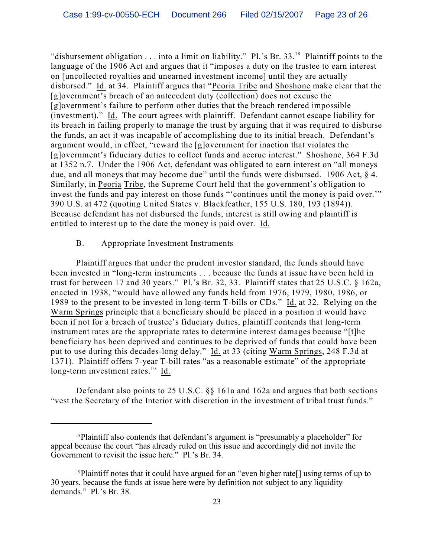"disbursement obligation . . . into a limit on liability." Pl.'s Br. 33.<sup>18</sup> Plaintiff points to the language of the 1906 Act and argues that it "imposes a duty on the trustee to earn interest on [uncollected royalties and unearned investment income] until they are actually disbursed." Id. at 34. Plaintiff argues that "Peoria Tribe and Shoshone make clear that the [g]overnment's breach of an antecedent duty (collection) does not excuse the [g]overnment's failure to perform other duties that the breach rendered impossible (investment)." Id. The court agrees with plaintiff. Defendant cannot escape liability for its breach in failing properly to manage the trust by arguing that it was required to disburse the funds, an act it was incapable of accomplishing due to its initial breach. Defendant's argument would, in effect, "reward the [g]overnment for inaction that violates the [g]overnment's fiduciary duties to collect funds and accrue interest." Shoshone, 364 F.3d at 1352 n.7. Under the 1906 Act, defendant was obligated to earn interest on "all moneys due, and all moneys that may become due" until the funds were disbursed. 1906 Act, § 4. Similarly, in Peoria Tribe, the Supreme Court held that the government's obligation to invest the funds and pay interest on those funds "'continues until the money is paid over.'" 390 U.S. at 472 (quoting United States v. Blackfeather, 155 U.S. 180, 193 (1894)). Because defendant has not disbursed the funds, interest is still owing and plaintiff is entitled to interest up to the date the money is paid over. Id.

## B. Appropriate Investment Instruments

Plaintiff argues that under the prudent investor standard, the funds should have been invested in "long-term instruments . . . because the funds at issue have been held in trust for between 17 and 30 years." Pl.'s Br. 32, 33. Plaintiff states that 25 U.S.C. § 162a, enacted in 1938, "would have allowed any funds held from 1976, 1979, 1980, 1986, or 1989 to the present to be invested in long-term T-bills or CDs." Id. at 32. Relying on the Warm Springs principle that a beneficiary should be placed in a position it would have been if not for a breach of trustee's fiduciary duties, plaintiff contends that long-term instrument rates are the appropriate rates to determine interest damages because "[t]he beneficiary has been deprived and continues to be deprived of funds that could have been put to use during this decades-long delay." Id. at 33 (citing Warm Springs, 248 F.3d at 1371). Plaintiff offers 7-year T-bill rates "as a reasonable estimate" of the appropriate long-term investment rates.<sup>19</sup> Id.

Defendant also points to 25 U.S.C. §§ 161a and 162a and argues that both sections "vest the Secretary of the Interior with discretion in the investment of tribal trust funds."

 $18$ Plaintiff also contends that defendant's argument is "presumably a placeholder" for appeal because the court "has already ruled on this issue and accordingly did not invite the Government to revisit the issue here." Pl.'s Br. 34.

<sup>&</sup>lt;sup>19</sup>Plaintiff notes that it could have argued for an "even higher rate<sup>[]</sup> using terms of up to 30 years, because the funds at issue here were by definition not subject to any liquidity demands." Pl.'s Br. 38.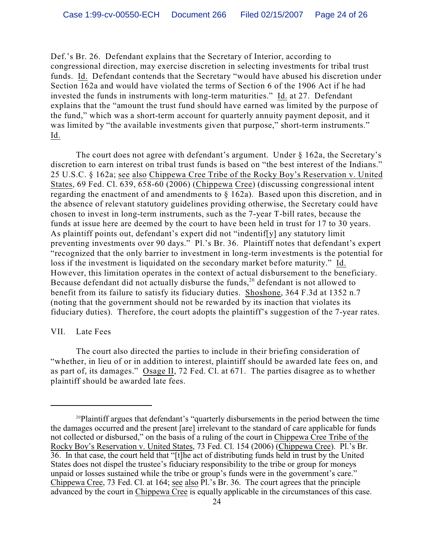Def.'s Br. 26. Defendant explains that the Secretary of Interior, according to congressional direction, may exercise discretion in selecting investments for tribal trust funds. Id. Defendant contends that the Secretary "would have abused his discretion under Section 162a and would have violated the terms of Section 6 of the 1906 Act if he had invested the funds in instruments with long-term maturities." Id. at 27. Defendant explains that the "amount the trust fund should have earned was limited by the purpose of the fund," which was a short-term account for quarterly annuity payment deposit, and it was limited by "the available investments given that purpose," short-term instruments." Id.

The court does not agree with defendant's argument. Under § 162a, the Secretary's discretion to earn interest on tribal trust funds is based on "the best interest of the Indians." 25 U.S.C. § 162a; see also Chippewa Cree Tribe of the Rocky Boy's Reservation v. United States, 69 Fed. Cl. 639, 658-60 (2006) (Chippewa Cree) (discussing congressional intent regarding the enactment of and amendments to § 162a). Based upon this discretion, and in the absence of relevant statutory guidelines providing otherwise, the Secretary could have chosen to invest in long-term instruments, such as the 7-year T-bill rates, because the funds at issue here are deemed by the court to have been held in trust for 17 to 30 years. As plaintiff points out, defendant's expert did not "indentif[y] any statutory limit preventing investments over 90 days." Pl.'s Br. 36. Plaintiff notes that defendant's expert "recognized that the only barrier to investment in long-term investments is the potential for loss if the investment is liquidated on the secondary market before maturity." Id. However, this limitation operates in the context of actual disbursement to the beneficiary. Because defendant did not actually disburse the funds,  $2^{\circ}$  defendant is not allowed to benefit from its failure to satisfy its fiduciary duties. Shoshone, 364 F.3d at 1352 n.7 (noting that the government should not be rewarded by its inaction that violates its fiduciary duties). Therefore, the court adopts the plaintiff's suggestion of the 7-year rates.

#### VII. Late Fees

The court also directed the parties to include in their briefing consideration of "whether, in lieu of or in addition to interest, plaintiff should be awarded late fees on, and as part of, its damages." Osage II, 72 Fed. Cl. at 671. The parties disagree as to whether plaintiff should be awarded late fees.

<sup>&</sup>lt;sup>20</sup>Plaintiff argues that defendant's "quarterly disbursements in the period between the time the damages occurred and the present [are] irrelevant to the standard of care applicable for funds not collected or disbursed," on the basis of a ruling of the court in Chippewa Cree Tribe of the Rocky Boy's Reservation v. United States, 73 Fed. Cl. 154 (2006) (Chippewa Cree). Pl.'s Br. 36. In that case, the court held that "[t]he act of distributing funds held in trust by the United States does not dispel the trustee's fiduciary responsibility to the tribe or group for moneys unpaid or losses sustained while the tribe or group's funds were in the government's care." Chippewa Cree, 73 Fed. Cl. at 164; see also Pl.'s Br. 36. The court agrees that the principle advanced by the court in Chippewa Cree is equally applicable in the circumstances of this case.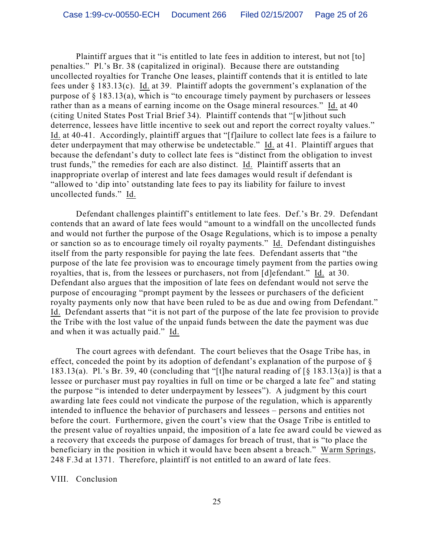Plaintiff argues that it "is entitled to late fees in addition to interest, but not [to] penalties." Pl.'s Br. 38 (capitalized in original). Because there are outstanding uncollected royalties for Tranche One leases, plaintiff contends that it is entitled to late fees under § 183.13(c). Id. at 39. Plaintiff adopts the government's explanation of the purpose of  $\S$  183.13(a), which is "to encourage timely payment by purchasers or lessees rather than as a means of earning income on the Osage mineral resources." Id. at 40 (citing United States Post Trial Brief 34). Plaintiff contends that "[w]ithout such deterrence, lessees have little incentive to seek out and report the correct royalty values." Id. at 40-41. Accordingly, plaintiff argues that "[f]ailure to collect late fees is a failure to deter underpayment that may otherwise be undetectable." Id. at 41. Plaintiff argues that because the defendant's duty to collect late fees is "distinct from the obligation to invest trust funds," the remedies for each are also distinct. Id. Plaintiff asserts that an inappropriate overlap of interest and late fees damages would result if defendant is "allowed to 'dip into' outstanding late fees to pay its liability for failure to invest uncollected funds." Id.

Defendant challenges plaintiff's entitlement to late fees. Def.'s Br. 29. Defendant contends that an award of late fees would "amount to a windfall on the uncollected funds and would not further the purpose of the Osage Regulations, which is to impose a penalty or sanction so as to encourage timely oil royalty payments." Id. Defendant distinguishes itself from the party responsible for paying the late fees. Defendant asserts that "the purpose of the late fee provision was to encourage timely payment from the parties owing royalties, that is, from the lessees or purchasers, not from [d]efendant." Id. at 30. Defendant also argues that the imposition of late fees on defendant would not serve the purpose of encouraging "prompt payment by the lessees or purchasers of the deficient royalty payments only now that have been ruled to be as due and owing from Defendant." Id. Defendant asserts that "it is not part of the purpose of the late fee provision to provide the Tribe with the lost value of the unpaid funds between the date the payment was due and when it was actually paid." Id.

The court agrees with defendant. The court believes that the Osage Tribe has, in effect, conceded the point by its adoption of defendant's explanation of the purpose of § 183.13(a). Pl.'s Br. 39, 40 (concluding that "[t]he natural reading of  $\lceil \S 183.13(a) \rceil$  is that a lessee or purchaser must pay royalties in full on time or be charged a late fee" and stating the purpose "is intended to deter underpayment by lessees"). A judgment by this court awarding late fees could not vindicate the purpose of the regulation, which is apparently intended to influence the behavior of purchasers and lessees – persons and entities not before the court. Furthermore, given the court's view that the Osage Tribe is entitled to the present value of royalties unpaid, the imposition of a late fee award could be viewed as a recovery that exceeds the purpose of damages for breach of trust, that is "to place the beneficiary in the position in which it would have been absent a breach." Warm Springs, 248 F.3d at 1371. Therefore, plaintiff is not entitled to an award of late fees.

VIII. Conclusion